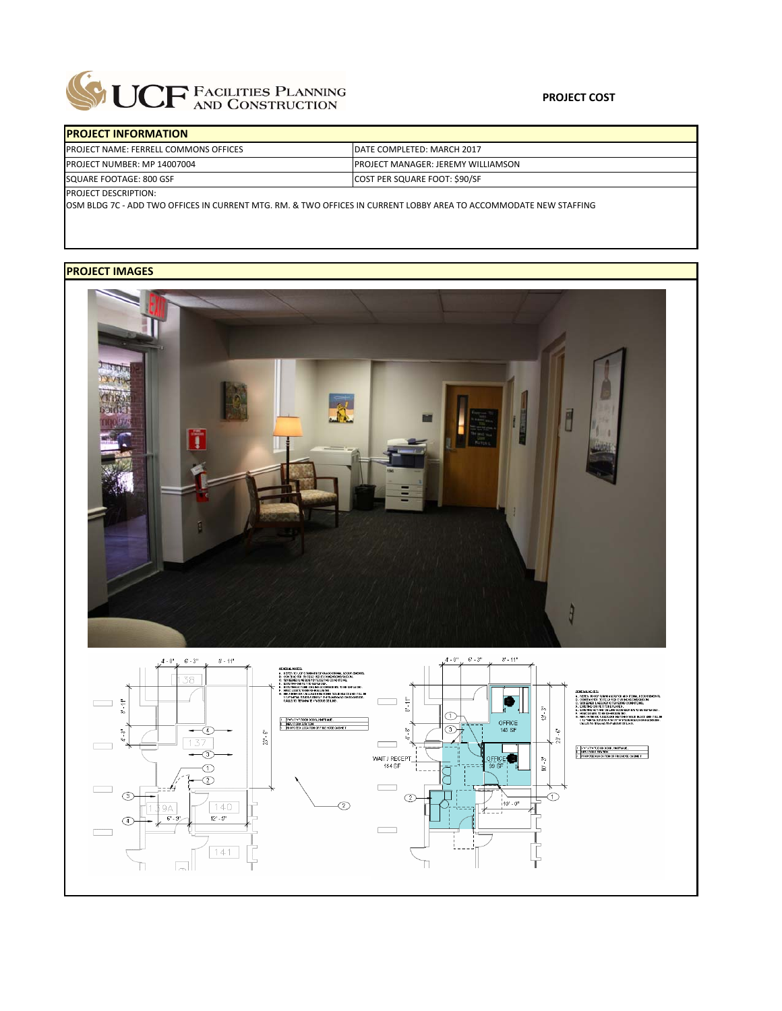

 $141$ 

同

ħ

| <b>PROJECT INFORMATION</b>            |                                            |  |  |  |  |
|---------------------------------------|--------------------------------------------|--|--|--|--|
| PROJECT NAME: FERRELL COMMONS OFFICES | DATE COMPLETED: MARCH 2017                 |  |  |  |  |
| PROJECT NUMBER: MP 14007004           | <b>IPROJECT MANAGER: JEREMY WILLIAMSON</b> |  |  |  |  |
| SQUARE FOOTAGE: 800 GSF               | COST PER SQUARE FOOT: \$90/SF              |  |  |  |  |
| <b>PROJECT DESCRIPTION:</b>           |                                            |  |  |  |  |

OSM BLDG 7C ‐ ADD TWO OFFICES IN CURRENT MTG. RM. & TWO OFFICES IN CURRENT LOBBY AREA TO ACCOMMODATE NEW STAFFING

## **PROJECT IMAGES**



n